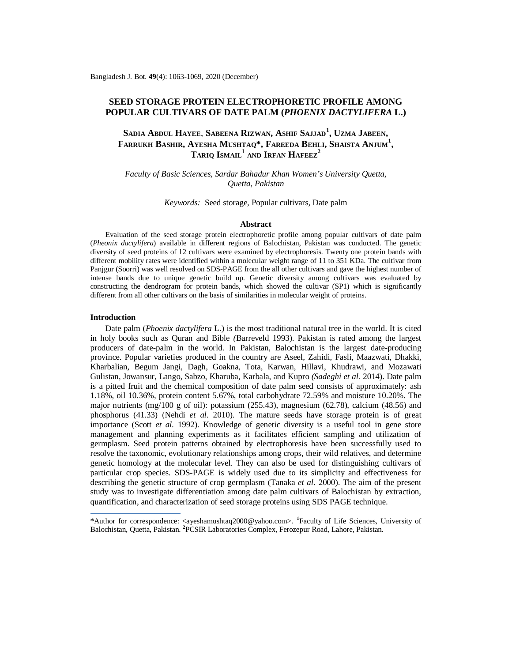## **SEED STORAGE PROTEIN ELECTROPHORETIC PROFILE AMONG POPULAR CULTIVARS OF DATE PALM (***PHOENIX DACTYLIFERA* **L.)**

# **SADIA ABDUL HAYEE**, **SABEENA RIZWAN, ASHIF SAJJAD<sup>1</sup> , UZMA JABEEN, FARRUKH BASHIR, AYESHA MUSHTAQ\*, FAREEDA BEHLI, SHAISTA ANJUM<sup>1</sup> ,**   $\mathbf{T}$ ARIQ  $\mathbf{I}\mathbf{S}\mathbf{M}\mathbf{A}\mathbf{I}\mathbf{L}^1$  and  $\mathbf{I}\mathbf{R}\mathbf{F}\mathbf{A}\mathbf{N}$   $\mathbf{H}\mathbf{A}\mathbf{F}\mathbf{E}\mathbf{E}\mathbf{Z}^2$

*Faculty of Basic Sciences, Sardar Bahadur Khan Women's University Quetta, Quetta, Pakistan*

*Keywords:* Seed storage, Popular cultivars, Date palm

#### **Abstract**

Evaluation of the seed storage protein electrophoretic profile among popular cultivars of date palm (*Pheonix dactylifera*) available in different regions of Balochistan, Pakistan was conducted. The genetic diversity of seed proteins of 12 cultivars were examined by electrophoresis. Twenty one protein bands with different mobility rates were identified within a molecular weight range of 11 to 351 KDa. The cultivar from Panjgur (Soorri) was well resolved on SDS-PAGE from the all other cultivars and gave the highest number of intense bands due to unique genetic build up. Genetic diversity among cultivars was evaluated by constructing the dendrogram for protein bands, which showed the cultivar (SP1) which is significantly different from all other cultivars on the basis of similarities in molecular weight of proteins.

#### **Introduction**

Date palm (*Phoenix dactylifera* L.) is the most traditional natural tree in the world. It is cited in holy books such as Quran and Bible *(*Barreveld 1993). Pakistan is rated among the largest producers of date-palm in the world. In Pakistan, Balochistan is the largest date-producing province. Popular varieties produced in the country are Aseel, Zahidi, Fasli, Maazwati, Dhakki, Kharbalian, Begum Jangi, Dagh, Goakna, Tota, Karwan, Hillavi, Khudrawi, and Mozawati Gulistan, Jowansur, Lango, Sabzo, Kharuba, Karbala, and Kupro *(Sadeghi et al.* 2014). Date palm is a pitted fruit and the chemical composition of date palm seed consists of approximately: ash 1.18%, oil 10.36%, protein content 5.67%, total carbohydrate 72.59% and moisture 10.20%. The major nutrients (mg/100 g of oil): potassium (255.43), magnesium (62.78), calcium (48.56) and phosphorus (41.33) (Nehdi *et al.* 2010). The mature seeds have storage protein is of great importance (Scott *et al.* 1992). Knowledge of genetic diversity is a useful tool in gene store management and planning experiments as it facilitates efficient sampling and utilization of germplasm*.* Seed protein patterns obtained by electrophoresis have been successfully used to resolve the taxonomic, evolutionary relationships among crops, their wild relatives, and determine genetic homology at the molecular level. They can also be used for distinguishing cultivars of particular crop species*.* SDS-PAGE is widely used due to its simplicity and effectiveness for describing the genetic structure of crop germplasm (Tanaka *et al.* 2000). The aim of the present study was to investigate differentiation among date palm cultivars of Balochistan by extraction, quantification, and characterization of seed storage proteins using SDS PAGE technique.

**\***Author for correspondence: <[ayeshamushtaq2000@yahoo.com>](mailto:ayeshamushtaq2000@yahoo.com). **<sup>1</sup>** Faculty of Life Sciences, University of Balochistan, Quetta, Pakistan. **<sup>2</sup>** PCSIR Laboratories Complex, Ferozepur Road, Lahore, Pakistan.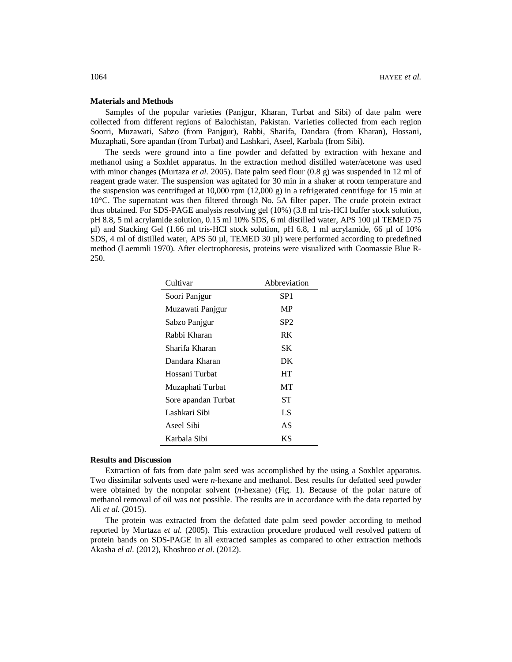#### **Materials and Methods**

Samples of the popular varieties (Panjgur, Kharan, Turbat and Sibi) of date palm were collected from different regions of Balochistan, Pakistan. Varieties collected from each region Soorri, Muzawati, Sabzo (from Panjgur), Rabbi, Sharifa, Dandara (from Kharan), Hossani, Muzaphati, Sore apandan (from Turbat) and Lashkari, Aseel, Karbala (from Sibi).

The seeds were ground into a fine powder and defatted by extraction with hexane and methanol using a Soxhlet apparatus. In the extraction method distilled water/acetone was used with minor changes (Murtaza *et al.* 2005). Date palm seed flour (0.8 g) was suspended in 12 ml of reagent grade water. The suspension was agitated for 30 min in a shaker at room temperature and the suspension was centrifuged at  $10,000$  rpm  $(12,000 \text{ g})$  in a refrigerated centrifuge for 15 min at 10°C. The supernatant was then filtered through No. 5A filter paper. The crude protein extract thus obtained. For SDS-PAGE analysis resolving gel (10%) (3.8 ml tris-HCI buffer stock solution, pH 8.8, 5 ml acrylamide solution, 0.15 ml 10% SDS, 6 ml distilled water, APS 100 µl TEMED 75 µl) and Stacking Gel (1.66 ml tris-HCI stock solution, pH 6.8, 1 ml acrylamide, 66 µl of 10% SDS, 4 ml of distilled water, APS 50 µl, TEMED 30 µl) were performed according to predefined method (Laemmli 1970). After electrophoresis, proteins were visualized with Coomassie Blue R-250.

| Cultivar            | Abbreviation    |
|---------------------|-----------------|
| Soori Panjgur       | SP <sub>1</sub> |
| Muzawati Panjgur    | MP              |
| Sabzo Panjgur       | SP2             |
| Rabbi Kharan        | RK              |
| Sharifa Kharan      | SK.             |
| Dandara Kharan      | DK              |
| Hossani Turbat      | HT              |
| Muzaphati Turbat    | MТ              |
| Sore apandan Turbat | SТ              |
| Lashkari Sibi       | LS              |
| Aseel Sibi          | AS              |
| Karbala Sibi        | ΚS              |

#### **Results and Discussion**

Extraction of fats from date palm seed was accomplished by the using a Soxhlet apparatus. Two dissimilar solvents used were *n*-hexane and methanol. Best results for defatted seed powder were obtained by the nonpolar solvent (*n*-hexane) (Fig. 1). Because of the polar nature of methanol removal of oil was not possible. The results are in accordance with the data reported by Ali *et al.* (2015).

The protein was extracted from the defatted date palm seed powder according to method reported by Murtaza *et al.* (2005). This extraction procedure produced well resolved pattern of protein bands on SDS-PAGE in all extracted samples as compared to other extraction methods Akasha *el al.* (2012), Khoshroo *et al.* (2012).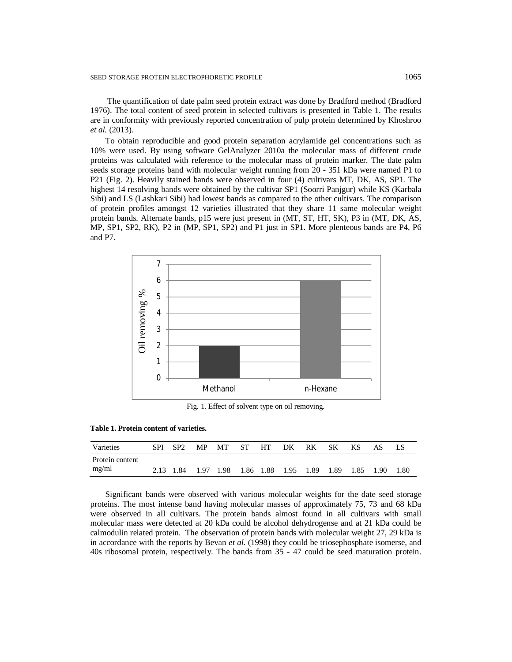The quantification of date palm seed protein extract was done by Bradford method (Bradford 1976). The total content of seed protein in selected cultivars is presented in Table 1. The results are in conformity with previously reported concentration of pulp protein determined by Khoshroo *et al.* (2013).

To obtain reproducible and good protein separation acrylamide gel concentrations such as 10% were used. By using software GelAnalyzer 2010a the molecular mass of different crude proteins was calculated with reference to the molecular mass of protein marker. The date palm seeds storage proteins band with molecular weight running from 20 - 351 kDa were named P1 to P21 (Fig. 2). Heavily stained bands were observed in four (4) cultivars MT, DK, AS, SP1. The highest 14 resolving bands were obtained by the cultivar SP1 (Soorri Panjgur) while KS (Karbala Sibi) and LS (Lashkari Sibi) had lowest bands as compared to the other cultivars. The comparison of protein profiles amongst 12 varieties illustrated that they share 11 same molecular weight protein bands. Alternate bands, p15 were just present in (MT, ST, HT, SK), P3 in (MT, DK, AS, MP, SP1, SP2, RK), P2 in (MP, SP1, SP2) and P1 just in SP1. More plenteous bands are P4, P6 and P7.



Fig. 1. Effect of solvent type on oil removing.

| Table 1. Protein content of varieties. |  |
|----------------------------------------|--|
|----------------------------------------|--|

| Varieties                | <b>SPI</b> | $\cdot$ SP2    | MP. | MT ST HT |  | DK                  | RK. | -SK  | KS.   | AS   | ЪS   |
|--------------------------|------------|----------------|-----|----------|--|---------------------|-----|------|-------|------|------|
| Protein content<br>mg/ml |            | 2.13 1.84 1.97 |     | (1.98)   |  | 1.86 1.88 1.95 1.89 |     | 1.89 | -1.85 | 1.90 | 1.80 |

Significant bands were observed with various molecular weights for the date seed storage proteins. The most intense band having molecular masses of approximately 75, 73 and 68 kDa were observed in all cultivars. The protein bands almost found in all cultivars with small molecular mass were detected at 20 kDa could be alcohol dehydrogense and at 21 kDa could be calmodulin related protein. The observation of protein bands with molecular weight 27, 29 kDa is in accordance with the reports by Bevan *et al.* (1998) they could be triosephosphate isomerse, and 40s ribosomal protein, respectively. The bands from 35 - 47 could be seed maturation protein.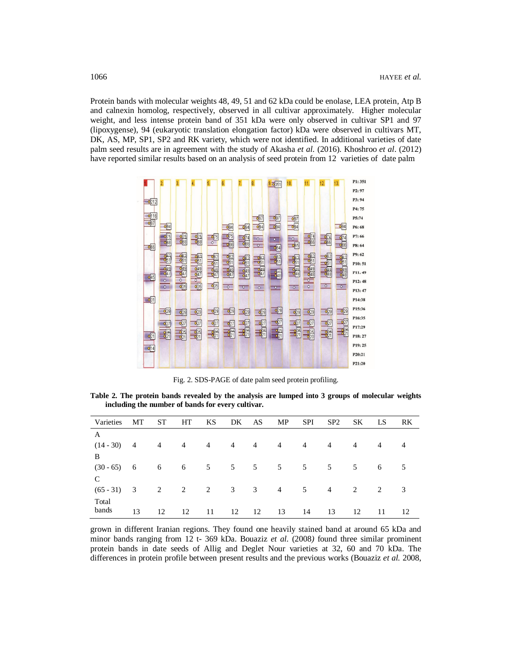Protein bands with molecular weights 48, 49, 51 and 62 kDa could be enolase, LEA protein, Atp B and calnexin homolog, respectively, observed in all cultivar approximately. Higher molecular weight, and less intense protein band of 351 kDa were only observed in cultivar SP1 and 97 (lipoxygense), 94 (eukaryotic translation elongation factor) kDa were observed in cultivars MT, DK, AS, MP, SP1, SP2 and RK variety, which were not identified. In additional varieties of date palm seed results are in agreement with the study of Akasha *et al.* (2016). Khoshroo *et al*. (2012) have reported similar results based on an analysis of seed protein from 12 varieties of date palm



Fig. 2. SDS-PAGE of date palm seed protein profiling.

**Table 2. The protein bands revealed by the analysis are lumped into 3 groups of molecular weights including the number of bands for every cultivar.**

| Varieties     | MT                      | <b>ST</b>       | HT             | KS             |                | DK AS MP              |                | <b>SPI</b>     | SP2            | SK. | LS             | RK             |
|---------------|-------------------------|-----------------|----------------|----------------|----------------|-----------------------|----------------|----------------|----------------|-----|----------------|----------------|
| $\mathbf{A}$  |                         |                 |                |                |                |                       |                |                |                |     |                |                |
| $(14 - 30)$   | $\overline{4}$          | $\overline{4}$  | $\overline{4}$ | $\overline{4}$ | $\overline{4}$ | $\overline{4}$        | $\overline{4}$ | $\overline{4}$ | $\overline{4}$ | 4   | $\overline{4}$ | $\overline{4}$ |
| -B            |                         |                 |                |                |                |                       |                |                |                |     |                |                |
| $(30 - 65)$ 6 |                         | $6\overline{6}$ | 6              | 5 <sup>5</sup> |                | $5 \qquad 5 \qquad 5$ |                | 5              | 5              | 5   | 6              | 5              |
| C             |                         |                 |                |                |                |                       |                |                |                |     |                |                |
| $(65 - 31)$   | $\overline{\mathbf{3}}$ | 2               | 2              | $\overline{2}$ | 3              | 3                     | $\overline{4}$ | 5              | $\overline{4}$ | 2   | 2              | 3              |
| Total         |                         |                 |                |                |                |                       |                |                |                |     |                |                |
| bands         | 13                      | 12              | 12             | 11             | 12             | 12                    | 13             | 14             | 13             | 12  | 11             | 12             |

grown in different Iranian regions. They found one heavily stained band at around 65 kDa and minor bands ranging from 12 t- 369 kDa. Bouaziz *et al.* (2008*)* found three similar prominent protein bands in date seeds of Allig and Deglet Nour varieties at 32, 60 and 70 kDa. The differences in protein profile between present results and the previous works (Bouaziz *et al.* 2008,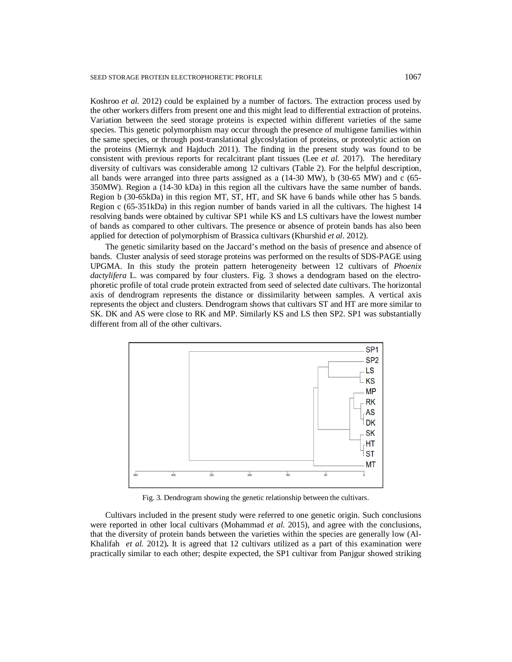Koshroo *et al.* 2012) could be explained by a number of factors. The extraction process used by the other workers differs from present one and this might lead to differential extraction of proteins. Variation between the seed storage proteins is expected within different varieties of the same species. This genetic polymorphism may occur through the presence of multigene families within the same species, or through post-translational glycoslylation of proteins, or proteolytic action on the proteins (Miernyk and Hajduch 2011). The finding in the present study was found to be consistent with previous reports for recalcitrant plant tissues (Lee *et al.* 2017). The hereditary diversity of cultivars was considerable among 12 cultivars (Table 2). For the helpful description, all bands were arranged into three parts assigned as a (14-30 MW), b (30-65 MW) and c (65- 350MW). Region a (14-30 kDa) in this region all the cultivars have the same number of bands. Region b (30-65kDa) in this region MT, ST, HT, and SK have 6 bands while other has 5 bands. Region c (65-351kDa) in this region number of bands varied in all the cultivars. The highest 14 resolving bands were obtained by cultivar SP1 while KS and LS cultivars have the lowest number of bands as compared to other cultivars. The presence or absence of protein bands has also been applied for detection of polymorphism of Brassica cultivars (Khurshid *et al*. 2012).

The genetic similarity based on the Jaccard's method on the basis of presence and absence of bands. Cluster analysis of seed storage proteins was performed on the results of SDS-PAGE using UPGMA. In this study the protein pattern heterogeneity between 12 cultivars of *Phoenix dactylifera* L. was compared by four clusters. Fig. 3 shows a dendogram based on the electrophoretic profile of total crude protein extracted from seed of selected date cultivars. The horizontal axis of dendrogram represents the distance or dissimilarity between samples. A vertical axis represents the object and clusters. Dendrogram shows that cultivars ST and HT are more similar to SK. DK and AS were close to RK and MP. Similarly KS and LS then SP2. SP1 was substantially different from all of the other cultivars.



Fig. 3. Dendrogram showing the genetic relationship between the cultivars.

Cultivars included in the present study were referred to one genetic origin. Such conclusions were reported in other local cultivars (Mohammad *et al.* 2015), and agree with the conclusions, that the diversity of protein bands between the varieties within the species are generally low (Al-Khalifah *et al.* 2012)**.** It is agreed that 12 cultivars utilized as a part of this examination were practically similar to each other; despite expected, the SP1 cultivar from Panjgur showed striking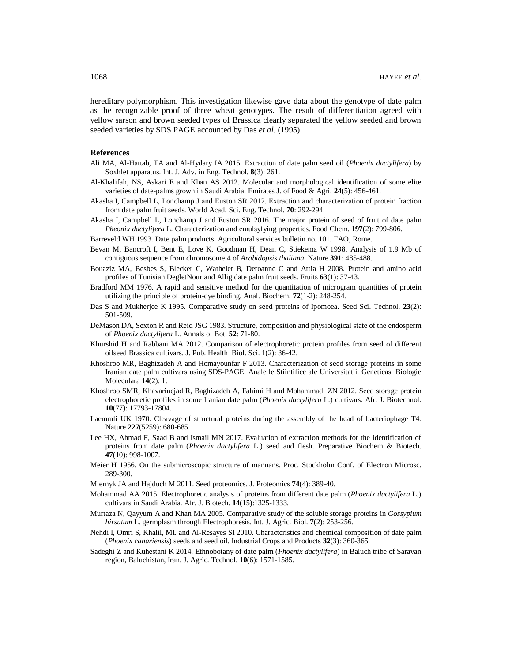hereditary polymorphism. This investigation likewise gave data about the genotype of date palm as the recognizable proof of three wheat genotypes. The result of differentiation agreed with yellow sarson and brown seeded types of Brassica clearly separated the yellow seeded and brown seeded varieties by SDS PAGE accounted by Das *et al.* (1995).

### **References**

- Ali MA, Al-Hattab, TA and Al-Hydary IA 2015. Extraction of date palm seed oil (*Phoenix dactylifera*) by Soxhlet apparatus. Int. J. Adv. in Eng. Technol. **8**(3): 261.
- Al-Khalifah, NS, Askari E and Khan AS 2012. Molecular and morphological identification of some elite varieties of date-palms grown in Saudi Arabia. Emirates J. of Food & Agri. **24**(5): 456-461.
- Akasha I, Campbell L, Lonchamp J and Euston SR 2012. Extraction and characterization of protein fraction from date palm fruit seeds. World Acad. Sci. Eng. Technol. **70**: 292-294.
- Akasha I, Campbell L, Lonchamp J and Euston SR 2016. The major protein of seed of fruit of date palm *Pheonix dactylifera* L. Characterization and emulsyfying properties. Food Chem. **197**(2): 799-806.
- Barreveld WH 1993. Date palm products. Agricultural services bulletin no. 101. FAO, Rome.
- Bevan M, Bancroft I, Bent E, Love K, Goodman H, Dean C, Stiekema W 1998. Analysis of 1.9 Mb of contiguous sequence from chromosome 4 of *Arabidopsis thaliana*. Nature **391**: 485-488.
- Bouaziz MA, Besbes S, Blecker C, Wathelet B, Deroanne C and Attia H 2008. Protein and amino acid profiles of Tunisian DegletNour and Allig date palm fruit seeds. Fruits **63**(1): 37-43.
- Bradford MM 1976. A rapid and sensitive method for the quantitation of microgram quantities of protein utilizing the principle of protein-dye binding. Anal. Biochem. **72**(1-2): 248-254.
- Das S and Mukherjee K 1995. Comparative study on seed proteins of Ipomoea. Seed Sci. Technol. **23**(2): 501-509.
- DeMason DA, Sexton R and Reid JSG 1983. Structure, composition and physiological state of the endosperm of *Phoenix dactylifera* L. Annals of Bot. **52**: 71-80.
- Khurshid H and Rabbani MA 2012. Comparison of electrophoretic protein profiles from seed of different oilseed Brassica cultivars. J. Pub. Health Biol. Sci. **1**(2): 36-42.
- Khoshroo MR, Baghizadeh A and Homayounfar F 2013. Characterization of seed storage proteins in some Iranian date palm cultivars using SDS-PAGE. Anale le Stiintifice ale Universitatii. Geneticasi Biologie Moleculara **14**(2): 1.
- Khoshroo SMR, Khavarinejad R, Baghizadeh A, Fahimi H and Mohammadi ZN 2012. Seed storage protein electrophoretic profiles in some Iranian date palm (*Phoenix dactylifera* L.) cultivars. Afr. J. Biotechnol. **10**(77): 17793-17804.
- Laemmli UK 1970. Cleavage of structural proteins during the assembly of the head of bacteriophage T4. Nature **227**(5259): 680-685.
- Lee HX, Ahmad F, Saad B and Ismail MN 2017. Evaluation of extraction methods for the identification of proteins from date palm (*Phoenix dactylifera* L.) seed and flesh. Preparative Biochem & Biotech. **47**(10): 998-1007.
- Meier H 1956. On the submicroscopic structure of mannans. Proc. Stockholm Conf. of Electron Microsc. 289-300.
- Miernyk JA and Hajduch M 2011. Seed proteomics. J. Proteomics **74**(4): 389-40.
- Mohammad AA 2015. Electrophoretic analysis of proteins from different date palm (*Phoenix dactylifera* L.) cultivars in Saudi Arabia. Afr. J. Biotech. **14**(15):1325-1333.
- Murtaza N, Qayyum A and Khan MA 2005. Comparative study of the soluble storage proteins in *Gossypium hirsutum* L. germplasm through Electrophoresis. Int. J. Agric. Biol. **7**(2): 253-256.
- Nehdi I, Omri S, Khalil, MI. and Al-Resayes SI 2010. Characteristics and chemical composition of date palm (*Phoenix canariensis*) seeds and seed oil. Industrial Crops and Products **32**(3): 360-365.
- Sadeghi Z and Kuhestani K 2014. Ethnobotany of date palm (*Phoenix dactylifera*) in Baluch tribe of Saravan region, Baluchistan, Iran. J. Agric. Technol. **10**(6): 1571-1585.